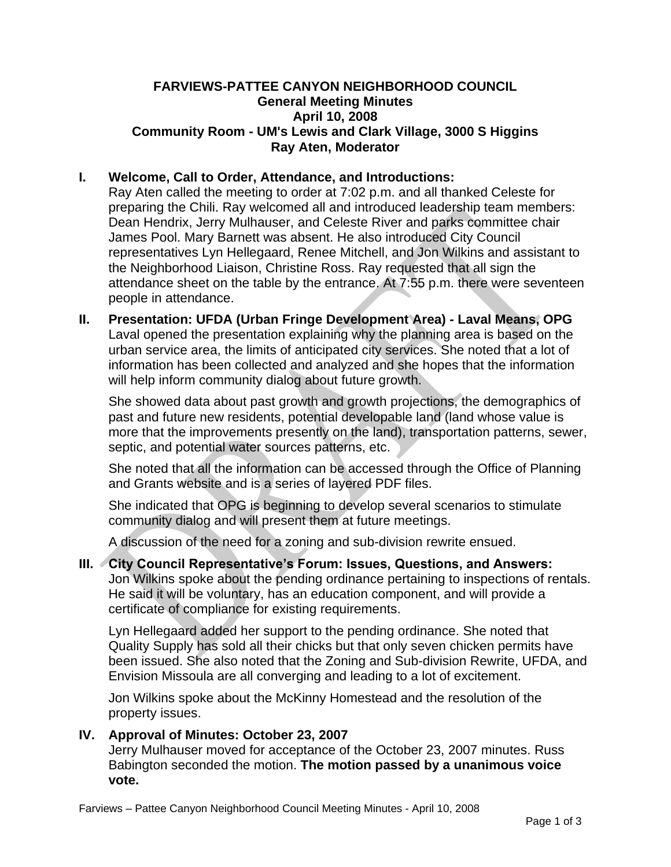### **FARVIEWS-PATTEE CANYON NEIGHBORHOOD COUNCIL General Meeting Minutes April 10, 2008 Community Room - UM's Lewis and Clark Village, 3000 S Higgins Ray Aten, Moderator**

### **I. Welcome, Call to Order, Attendance, and Introductions:**

Ray Aten called the meeting to order at 7:02 p.m. and all thanked Celeste for preparing the Chili. Ray welcomed all and introduced leadership team members: Dean Hendrix, Jerry Mulhauser, and Celeste River and parks committee chair James Pool. Mary Barnett was absent. He also introduced City Council representatives Lyn Hellegaard, Renee Mitchell, and Jon Wilkins and assistant to the Neighborhood Liaison, Christine Ross. Ray requested that all sign the attendance sheet on the table by the entrance. At 7:55 p.m. there were seventeen people in attendance.

**II. Presentation: UFDA (Urban Fringe Development Area) - Laval Means, OPG** Laval opened the presentation explaining why the planning area is based on the urban service area, the limits of anticipated city services. She noted that a lot of information has been collected and analyzed and she hopes that the information will help inform community dialog about future growth.

She showed data about past growth and growth projections, the demographics of past and future new residents, potential developable land (land whose value is more that the improvements presently on the land), transportation patterns, sewer, septic, and potential water sources patterns, etc.

She noted that all the information can be accessed through the Office of Planning and Grants website and is a series of layered PDF files.

She indicated that OPG is beginning to develop several scenarios to stimulate community dialog and will present them at future meetings.

A discussion of the need for a zoning and sub-division rewrite ensued.

# **III. City Council Representative's Forum: Issues, Questions, and Answers:** Jon Wilkins spoke about the pending ordinance pertaining to inspections of rentals. He said it will be voluntary, has an education component, and will provide a certificate of compliance for existing requirements.

Lyn Hellegaard added her support to the pending ordinance. She noted that Quality Supply has sold all their chicks but that only seven chicken permits have been issued. She also noted that the Zoning and Sub-division Rewrite, UFDA, and Envision Missoula are all converging and leading to a lot of excitement.

Jon Wilkins spoke about the McKinny Homestead and the resolution of the property issues.

## **IV. Approval of Minutes: October 23, 2007**

Jerry Mulhauser moved for acceptance of the October 23, 2007 minutes. Russ Babington seconded the motion. **The motion passed by a unanimous voice vote.**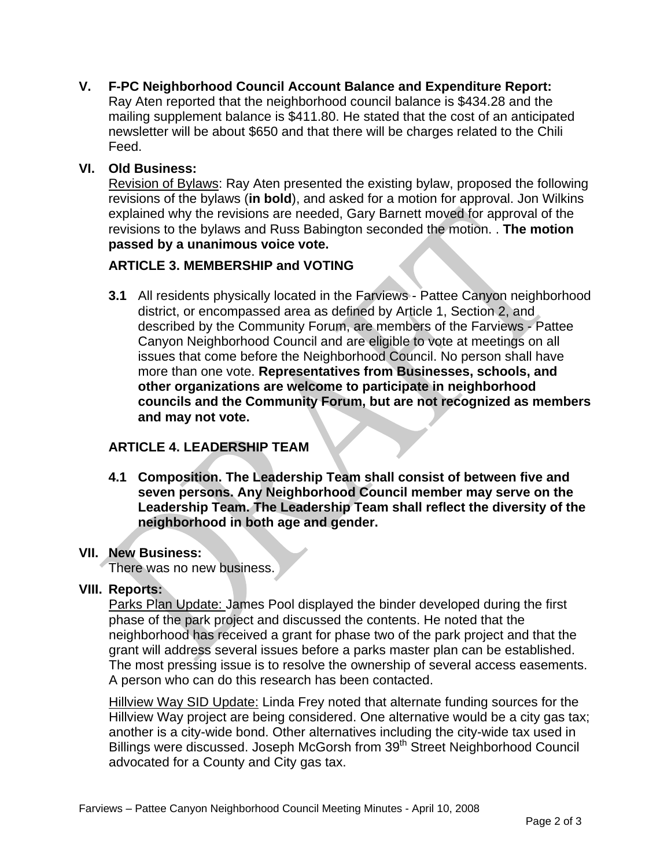**V. F-PC Neighborhood Council Account Balance and Expenditure Report:** Ray Aten reported that the neighborhood council balance is \$434.28 and the mailing supplement balance is \$411.80. He stated that the cost of an anticipated newsletter will be about \$650 and that there will be charges related to the Chili

## **VI. Old Business:**

Feed.

Revision of Bylaws: Ray Aten presented the existing bylaw, proposed the following revisions of the bylaws (**in bold**), and asked for a motion for approval. Jon Wilkins explained why the revisions are needed, Gary Barnett moved for approval of the revisions to the bylaws and Russ Babington seconded the motion. . **The motion passed by a unanimous voice vote.**

# **ARTICLE 3. MEMBERSHIP and VOTING**

**3.1** All residents physically located in the Farviews - Pattee Canyon neighborhood district, or encompassed area as defined by Article 1, Section 2, and described by the Community Forum, are members of the Farviews - Pattee Canyon Neighborhood Council and are eligible to vote at meetings on all issues that come before the Neighborhood Council. No person shall have more than one vote. **Representatives from Businesses, schools, and other organizations are welcome to participate in neighborhood councils and the Community Forum, but are not recognized as members and may not vote.**

# **ARTICLE 4. LEADERSHIP TEAM**

**4.1 Composition. The Leadership Team shall consist of between five and seven persons. Any Neighborhood Council member may serve on the Leadership Team. The Leadership Team shall reflect the diversity of the neighborhood in both age and gender.**

#### **VII. New Business:**

There was no new business.

## **VIII. Reports:**

Parks Plan Update: James Pool displayed the binder developed during the first phase of the park project and discussed the contents. He noted that the neighborhood has received a grant for phase two of the park project and that the grant will address several issues before a parks master plan can be established. The most pressing issue is to resolve the ownership of several access easements. A person who can do this research has been contacted.

Hillview Way SID Update: Linda Frey noted that alternate funding sources for the Hillview Way project are being considered. One alternative would be a city gas tax; another is a city-wide bond. Other alternatives including the city-wide tax used in Billings were discussed. Joseph McGorsh from 39<sup>th</sup> Street Neighborhood Council advocated for a County and City gas tax.